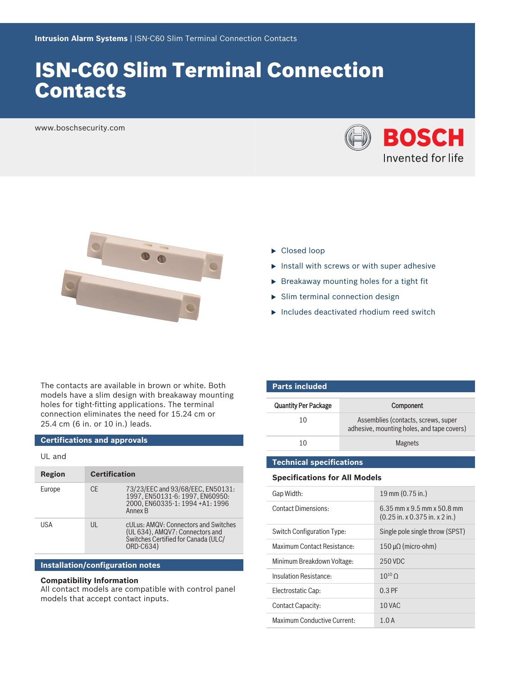# ISN‑C60 Slim Terminal Connection Contacts

www.boschsecurity.com





- $\blacktriangleright$  Closed loop
- $\blacktriangleright$  Install with screws or with super adhesive
- $\triangleright$  Breakaway mounting holes for a tight fit
- $\triangleright$  Slim terminal connection design
- $\blacktriangleright$  Includes deactivated rhodium reed switch

The contacts are available in brown or white. Both models have a slim design with breakaway mounting holes for tight-fitting applications. The terminal connection eliminates the need for 15.24 cm or 25.4 cm (6 in. or 10 in.) leads.

# **Certifications and approvals**

# UL and

| Region | <b>Certification</b> |                                                                                                                             |
|--------|----------------------|-----------------------------------------------------------------------------------------------------------------------------|
| Europe | CF.                  | 73/23/EEC and 93/68/EEC, EN50131:<br>1997. EN50131-6: 1997. EN60950:<br>2000. EN60335-1: 1994 +A1: 1996<br>Annex B          |
| USA    | $\mathbf{III}$       | cULus: AMQV: Connectors and Switches<br>(UL 634), AMQV7: Connectors and<br>Switches Certified for Canada (ULC/<br>ORD-C634) |

# **Installation/configuration notes**

# **Compatibility Information**

All contact models are compatible with control panel models that accept contact inputs.

| <b>Parts included</b>       |                                                                                   |  |  |  |
|-----------------------------|-----------------------------------------------------------------------------------|--|--|--|
| <b>Quantity Per Package</b> | Component                                                                         |  |  |  |
| 10                          | Assemblies (contacts, screws, super<br>adhesive, mounting holes, and tape covers) |  |  |  |
| 10                          | <b>Magnets</b>                                                                    |  |  |  |

## **Technical specifications**

# **Specifications for All Models**

| Gap Width:                  | 19 mm (0.75 in.)                                                 |
|-----------------------------|------------------------------------------------------------------|
| <b>Contact Dimensions:</b>  | $6.35$ mm x 9.5 mm x 50.8 mm<br>$(0.25$ in. x 0.375 in. x 2 in.) |
| Switch Configuration Type:  | Single pole single throw (SPST)                                  |
| Maximum Contact Resistance: | $150 \mu\Omega$ (micro-ohm)                                      |
| Minimum Breakdown Voltage:  | 250 VDC                                                          |
| Insulation Resistance:      | $10^{10}$ O                                                      |
| Electrostatic Cap:          | $0.3$ PF                                                         |
| Contact Capacity:           | 10 VAC                                                           |
| Maximum Conductive Current: | 1.0A                                                             |